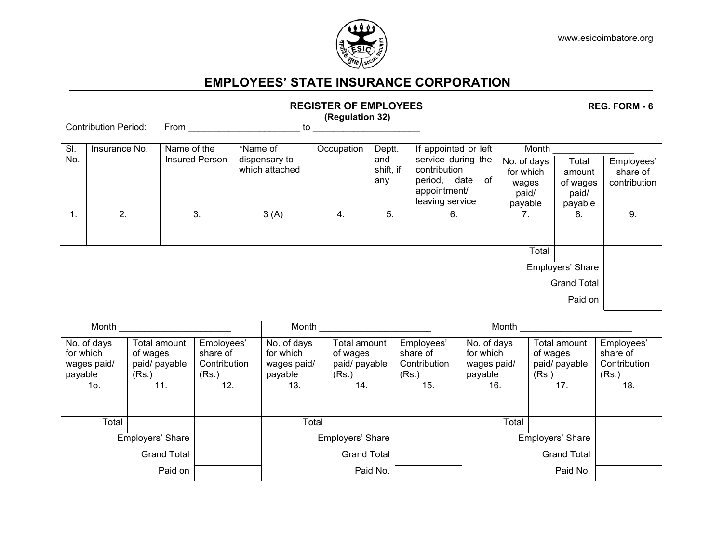

## **EMPLOYEES' STATE INSURANCE CORPORATION**

| 112010   LII UI LIII LU   LLU<br>1169. I VIII - V<br>(Regulation 32) |               |                               |                           |            |               |                                                            |                          |                   |                        |
|----------------------------------------------------------------------|---------------|-------------------------------|---------------------------|------------|---------------|------------------------------------------------------------|--------------------------|-------------------|------------------------|
| <b>Contribution Period:</b>                                          |               | From                          | to                        |            |               |                                                            |                          |                   |                        |
| SI.<br>No.                                                           | Insurance No. | Name of the<br>Insured Person | *Name of<br>dispensary to | Occupation | Deptt.<br>and | If appointed or left<br>service during the<br>contribution | Month<br>Total           |                   |                        |
|                                                                      |               |                               | which attached            |            | shift, if     |                                                            | No. of days<br>for which | amount            | Employees'<br>share of |
|                                                                      |               |                               |                           |            | any           | period, date of<br>appointment/                            | wages<br>paid/           | of wages<br>paid/ | contribution           |
|                                                                      |               |                               |                           |            |               | leaving service                                            | payable                  | payable           |                        |
| 1.                                                                   | 2.            | 3.                            | 3(A)                      | 4.         | 5.            | 6.                                                         | 7.                       | 8.                | 9.                     |
|                                                                      |               |                               |                           |            |               |                                                            |                          |                   |                        |
| Total                                                                |               |                               |                           |            |               |                                                            |                          |                   |                        |
| Employers' Share                                                     |               |                               |                           |            |               |                                                            |                          |                   |                        |
| <b>Grand Total</b>                                                   |               |                               |                           |            |               |                                                            |                          |                   |                        |
| Paid on                                                              |               |                               |                           |            |               |                                                            |                          |                   |                        |

| Month                                              |                                                    |                                                 | Month                                              |                                                    |                                                 | Month                                              |                                                    |                                                 |  |
|----------------------------------------------------|----------------------------------------------------|-------------------------------------------------|----------------------------------------------------|----------------------------------------------------|-------------------------------------------------|----------------------------------------------------|----------------------------------------------------|-------------------------------------------------|--|
| No. of days<br>for which<br>wages paid/<br>payable | Total amount<br>of wages<br>paid/ payable<br>(Rs.) | Employees'<br>share of<br>Contribution<br>(Rs.) | No. of days<br>for which<br>wages paid/<br>payable | Total amount<br>of wages<br>paid/ payable<br>(Rs.) | Employees'<br>share of<br>Contribution<br>(Rs.) | No. of days<br>for which<br>wages paid/<br>payable | Total amount<br>of wages<br>paid/ payable<br>(Rs.) | Employees'<br>share of<br>Contribution<br>(Rs.) |  |
| 10.                                                | 11.                                                | 12.                                             | 13.                                                | 14.                                                | 15.                                             | 16.                                                | 17.                                                | 18.                                             |  |
|                                                    |                                                    |                                                 |                                                    |                                                    |                                                 |                                                    |                                                    |                                                 |  |
| Total                                              |                                                    |                                                 | Total                                              |                                                    |                                                 | Total                                              |                                                    |                                                 |  |
|                                                    | Employers' Share                                   |                                                 |                                                    | Employers' Share                                   |                                                 | Employers' Share                                   |                                                    |                                                 |  |
|                                                    | <b>Grand Total</b>                                 |                                                 |                                                    | <b>Grand Total</b>                                 |                                                 |                                                    |                                                    |                                                 |  |
|                                                    | Paid on                                            |                                                 |                                                    | Paid No.                                           |                                                 |                                                    |                                                    |                                                 |  |

## **REGISTER OF EMPLOYEES REG. FORM - 6 6 REG. FORM - 6**